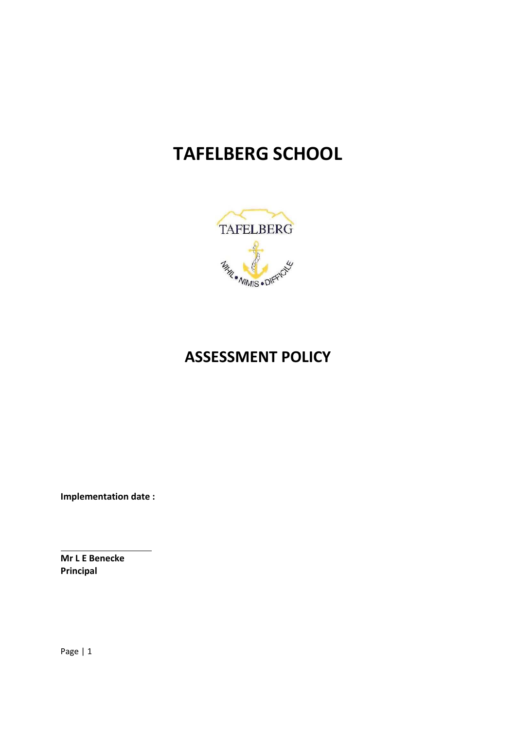# **TAFELBERG SCHOOL**



## **ASSESSMENT POLICY**

**Implementation date :** 

**Mr L E Benecke Principal** 

Page | 1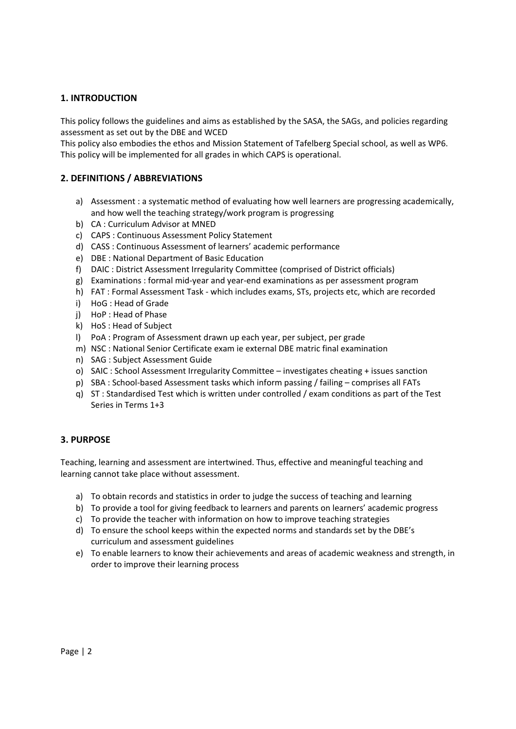## **1. INTRODUCTION**

This policy follows the guidelines and aims as established by the SASA, the SAGs, and policies regarding assessment as set out by the DBE and WCED

This policy also embodies the ethos and Mission Statement of Tafelberg Special school, as well as WP6. This policy will be implemented for all grades in which CAPS is operational.

#### **2. DEFINITIONS / ABBREVIATIONS**

- a) Assessment : a systematic method of evaluating how well learners are progressing academically, and how well the teaching strategy/work program is progressing
- b) CA : Curriculum Advisor at MNED
- c) CAPS : Continuous Assessment Policy Statement
- d) CASS : Continuous Assessment of learners' academic performance
- e) DBE : National Department of Basic Education
- f) DAIC : District Assessment Irregularity Committee (comprised of District officials)
- g) Examinations : formal mid‐year and year‐end examinations as per assessment program
- h) FAT : Formal Assessment Task which includes exams, STs, projects etc, which are recorded
- i) HoG : Head of Grade
- j) HoP : Head of Phase
- k) HoS : Head of Subject
- l) PoA : Program of Assessment drawn up each year, per subject, per grade
- m) NSC : National Senior Certificate exam ie external DBE matric final examination
- n) SAG : Subject Assessment Guide
- o) SAIC : School Assessment Irregularity Committee investigates cheating + issues sanction
- p) SBA : School-based Assessment tasks which inform passing / failing comprises all FATs
- q) ST : Standardised Test which is written under controlled / exam conditions as part of the Test Series in Terms 1+3

#### **3. PURPOSE**

Teaching, learning and assessment are intertwined. Thus, effective and meaningful teaching and learning cannot take place without assessment.

- a) To obtain records and statistics in order to judge the success of teaching and learning
- b) To provide a tool for giving feedback to learners and parents on learners' academic progress
- c) To provide the teacher with information on how to improve teaching strategies
- d) To ensure the school keeps within the expected norms and standards set by the DBE's curriculum and assessment guidelines
- e) To enable learners to know their achievements and areas of academic weakness and strength, in order to improve their learning process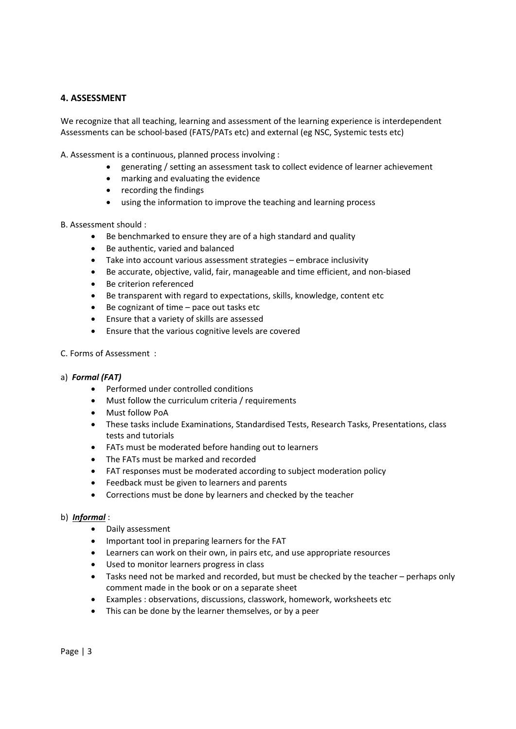## **4. ASSESSMENT**

We recognize that all teaching, learning and assessment of the learning experience is interdependent Assessments can be school‐based (FATS/PATs etc) and external (eg NSC, Systemic tests etc)

A. Assessment is a continuous, planned process involving :

- generating / setting an assessment task to collect evidence of learner achievement
- marking and evaluating the evidence
- recording the findings
- using the information to improve the teaching and learning process

B. Assessment should :

- Be benchmarked to ensure they are of a high standard and quality
- Be authentic, varied and balanced
- Take into account various assessment strategies embrace inclusivity
- Be accurate, objective, valid, fair, manageable and time efficient, and non‐biased
- Be criterion referenced
- Be transparent with regard to expectations, skills, knowledge, content etc
- Be cognizant of time pace out tasks etc
- Ensure that a variety of skills are assessed
- Ensure that the various cognitive levels are covered
- C. Forms of Assessment :
- a)  *Formal (FAT)*
	- Performed under controlled conditions
	- Must follow the curriculum criteria / requirements
	- Must follow PoA
	- These tasks include Examinations, Standardised Tests, Research Tasks, Presentations, class tests and tutorials
	- FATs must be moderated before handing out to learners
	- The FATs must be marked and recorded
	- FAT responses must be moderated according to subject moderation policy
	- Feedback must be given to learners and parents
	- Corrections must be done by learners and checked by the teacher

#### b)  *Informal* :

- Daily assessment
- Important tool in preparing learners for the FAT
- Learners can work on their own, in pairs etc, and use appropriate resources
- Used to monitor learners progress in class
- Tasks need not be marked and recorded, but must be checked by the teacher perhaps only comment made in the book or on a separate sheet
- Examples : observations, discussions, classwork, homework, worksheets etc
- This can be done by the learner themselves, or by a peer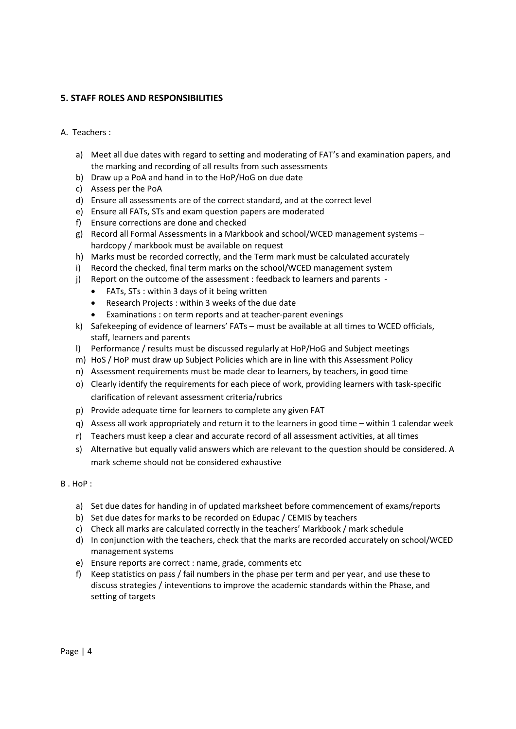## **5. STAFF ROLES AND RESPONSIBILITIES**

#### A. Teachers :

- a) Meet all due dates with regard to setting and moderating of FAT's and examination papers, and the marking and recording of all results from such assessments
- b) Draw up a PoA and hand in to the HoP/HoG on due date
- c) Assess per the PoA
- d) Ensure all assessments are of the correct standard, and at the correct level
- e) Ensure all FATs, STs and exam question papers are moderated
- f) Ensure corrections are done and checked
- g) Record all Formal Assessments in a Markbook and school/WCED management systems hardcopy / markbook must be available on request
- h) Marks must be recorded correctly, and the Term mark must be calculated accurately
- i) Record the checked, final term marks on the school/WCED management system
- j) Report on the outcome of the assessment : feedback to learners and parents -
	- FATs, STs : within 3 days of it being written
	- Research Projects : within 3 weeks of the due date
	- Examinations : on term reports and at teacher-parent evenings
- k) Safekeeping of evidence of learners' FATs must be available at all times to WCED officials, staff, learners and parents
- l) Performance / results must be discussed regularly at HoP/HoG and Subject meetings
- m) HoS / HoP must draw up Subject Policies which are in line with this Assessment Policy
- n) Assessment requirements must be made clear to learners, by teachers, in good time
- o) Clearly identify the requirements for each piece of work, providing learners with task‐specific clarification of relevant assessment criteria/rubrics
- p) Provide adequate time for learners to complete any given FAT
- q) Assess all work appropriately and return it to the learners in good time within 1 calendar week
- r) Teachers must keep a clear and accurate record of all assessment activities, at all times
- s) Alternative but equally valid answers which are relevant to the question should be considered. A mark scheme should not be considered exhaustive

#### B . HoP :

- a) Set due dates for handing in of updated marksheet before commencement of exams/reports
- b) Set due dates for marks to be recorded on Edupac / CEMIS by teachers
- c) Check all marks are calculated correctly in the teachers' Markbook / mark schedule
- d) In conjunction with the teachers, check that the marks are recorded accurately on school/WCED management systems
- e) Ensure reports are correct : name, grade, comments etc
- f) Keep statistics on pass / fail numbers in the phase per term and per year, and use these to discuss strategies / inteventions to improve the academic standards within the Phase, and setting of targets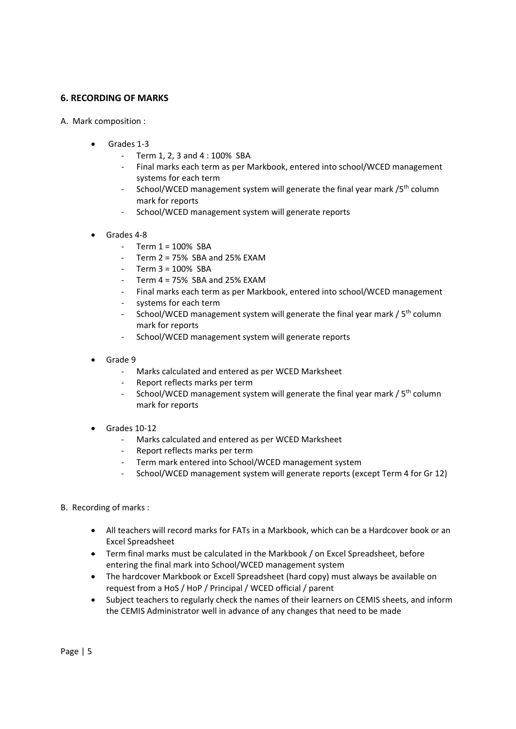## **6. RECORDING OF MARKS**

- A. Mark composition :
	- Grades 1‐3
		- ‐ Term 1, 2, 3 and 4 : 100% SBA
		- ‐ Final marks each term as per Markbook, entered into school/WCED management systems for each term
		- School/WCED management system will generate the final year mark /5<sup>th</sup> column mark for reports
		- School/WCED management system will generate reports
	- Grades 4‐8
		- $-$  Term  $1 = 100\%$  SBA
		- Term  $2 = 75\%$  SBA and 25% EXAM
		- ‐ Term 3 = 100% SBA
		- Term  $4 = 75\%$  SBA and 25% EXAM
		- ‐ Final marks each term as per Markbook, entered into school/WCED management
		- ‐ systems for each term
		- School/WCED management system will generate the final year mark / 5<sup>th</sup> column mark for reports
		- ‐ School/WCED management system will generate reports
	- Grade 9
		- ‐ Marks calculated and entered as per WCED Marksheet
		- ‐ Report reflects marks per term
		- School/WCED management system will generate the final year mark / 5<sup>th</sup> column mark for reports
	- Grades 10‐12
		- ‐ Marks calculated and entered as per WCED Marksheet
		- ‐ Report reflects marks per term
		- ‐ Term mark entered into School/WCED management system
		- ‐ School/WCED management system will generate reports (except Term 4 for Gr 12)
- B. Recording of marks :
	- All teachers will record marks for FATs in a Markbook, which can be a Hardcover book or an Excel Spreadsheet
	- Term final marks must be calculated in the Markbook / on Excel Spreadsheet, before entering the final mark into School/WCED management system
	- The hardcover Markbook or Excell Spreadsheet (hard copy) must always be available on request from a HoS / HoP / Principal / WCED official / parent
	- Subject teachers to regularly check the names of their learners on CEMIS sheets, and inform the CEMIS Administrator well in advance of any changes that need to be made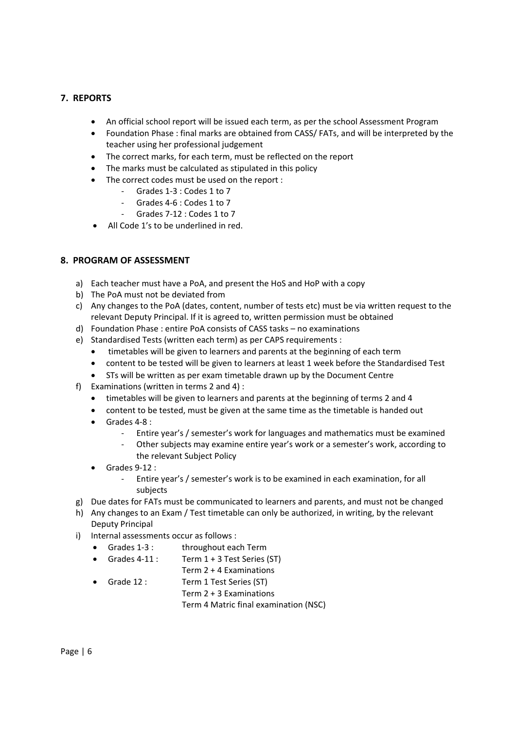## **7. REPORTS**

- An official school report will be issued each term, as per the school Assessment Program
- Foundation Phase : final marks are obtained from CASS/ FATs, and will be interpreted by the teacher using her professional judgement
- The correct marks, for each term, must be reflected on the report
- The marks must be calculated as stipulated in this policy
- The correct codes must be used on the report :
	- ‐ Grades 1‐3 : Codes 1 to 7
	- ‐ Grades 4‐6 : Codes 1 to 7
	- ‐ Grades 7‐12 : Codes 1 to 7
- All Code 1's to be underlined in red.

## **8. PROGRAM OF ASSESSMENT**

- a) Each teacher must have a PoA, and present the HoS and HoP with a copy
- b) The PoA must not be deviated from
- c) Any changes to the PoA (dates, content, number of tests etc) must be via written request to the relevant Deputy Principal. If it is agreed to, written permission must be obtained
- d) Foundation Phase : entire PoA consists of CASS tasks no examinations
- e) Standardised Tests (written each term) as per CAPS requirements :
	- timetables will be given to learners and parents at the beginning of each term
	- content to be tested will be given to learners at least 1 week before the Standardised Test
	- STs will be written as per exam timetable drawn up by the Document Centre
- f) Examinations (written in terms 2 and 4) :
	- timetables will be given to learners and parents at the beginning of terms 2 and 4
	- content to be tested, must be given at the same time as the timetable is handed out
	- Grades 4‐8 :
		- ‐ Entire year's / semester's work for languages and mathematics must be examined
		- ‐ Other subjects may examine entire year's work or a semester's work, according to the relevant Subject Policy
	- Grades 9‐12 :
		- ‐ Entire year's / semester's work is to be examined in each examination, for all subjects
- g) Due dates for FATs must be communicated to learners and parents, and must not be changed
- h) Any changes to an Exam / Test timetable can only be authorized, in writing, by the relevant Deputy Principal
- i) Internal assessments occur as follows :
	- Grades 1-3 : throughout each Term
	- Grades  $4-11$  : Term  $1 + 3$  Test Series (ST) Term 2 + 4 Examinations
	- Grade 12 : Term 1 Test Series (ST) Term 2 + 3 Examinations Term 4 Matric final examination (NSC)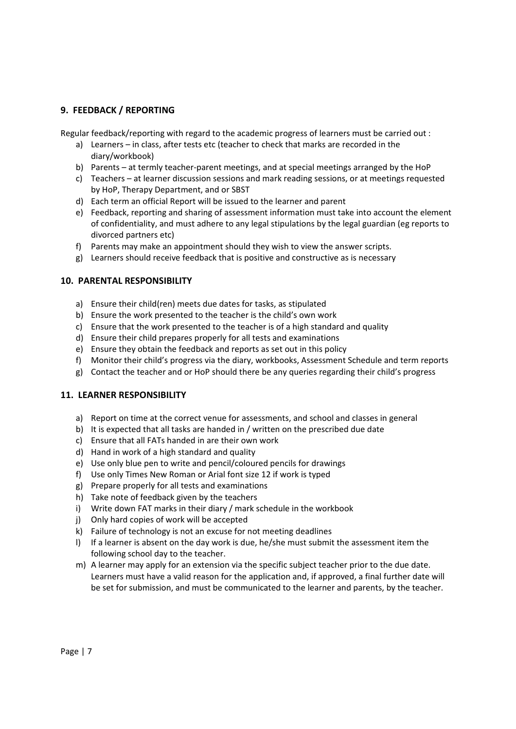## **9. FEEDBACK / REPORTING**

Regular feedback/reporting with regard to the academic progress of learners must be carried out :

- a) Learners in class, after tests etc (teacher to check that marks are recorded in the diary/workbook)
- b) Parents at termly teacher-parent meetings, and at special meetings arranged by the HoP
- c) Teachers at learner discussion sessions and mark reading sessions, or at meetings requested by HoP, Therapy Department, and or SBST
- d) Each term an official Report will be issued to the learner and parent
- e) Feedback, reporting and sharing of assessment information must take into account the element of confidentiality, and must adhere to any legal stipulations by the legal guardian (eg reports to divorced partners etc)
- f) Parents may make an appointment should they wish to view the answer scripts.
- g) Learners should receive feedback that is positive and constructive as is necessary

## **10. PARENTAL RESPONSIBILITY**

- a) Ensure their child(ren) meets due dates for tasks, as stipulated
- b) Ensure the work presented to the teacher is the child's own work
- c) Ensure that the work presented to the teacher is of a high standard and quality
- d) Ensure their child prepares properly for all tests and examinations
- e) Ensure they obtain the feedback and reports as set out in this policy
- f) Monitor their child's progress via the diary, workbooks, Assessment Schedule and term reports
- g) Contact the teacher and or HoP should there be any queries regarding their child's progress

#### **11. LEARNER RESPONSIBILITY**

- a) Report on time at the correct venue for assessments, and school and classes in general
- b) It is expected that all tasks are handed in / written on the prescribed due date
- c) Ensure that all FATs handed in are their own work
- d) Hand in work of a high standard and quality
- e) Use only blue pen to write and pencil/coloured pencils for drawings
- f) Use only Times New Roman or Arial font size 12 if work is typed
- g) Prepare properly for all tests and examinations
- h) Take note of feedback given by the teachers
- i) Write down FAT marks in their diary / mark schedule in the workbook
- j) Only hard copies of work will be accepted
- k) Failure of technology is not an excuse for not meeting deadlines
- l) If a learner is absent on the day work is due, he/she must submit the assessment item the following school day to the teacher.
- m) A learner may apply for an extension via the specific subject teacher prior to the due date. Learners must have a valid reason for the application and, if approved, a final further date will be set for submission, and must be communicated to the learner and parents, by the teacher.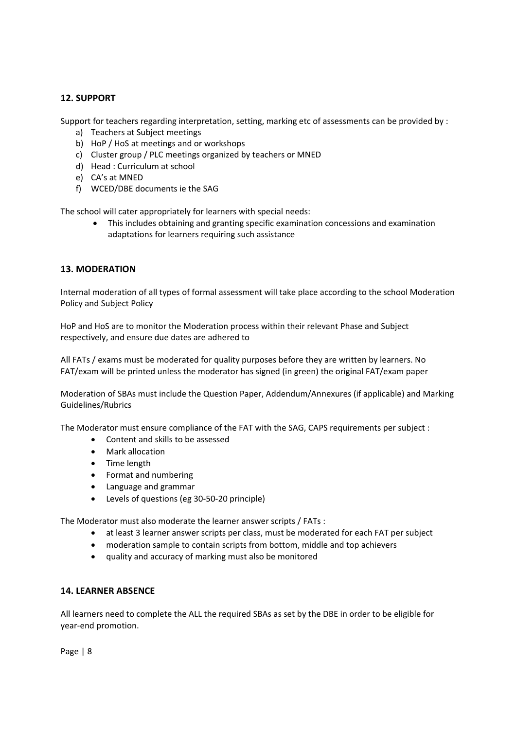## **12. SUPPORT**

Support for teachers regarding interpretation, setting, marking etc of assessments can be provided by :

- a) Teachers at Subject meetings
- b) HoP / HoS at meetings and or workshops
- c) Cluster group / PLC meetings organized by teachers or MNED
- d) Head : Curriculum at school
- e) CA's at MNED
- f) WCED/DBE documents ie the SAG

The school will cater appropriately for learners with special needs:

 This includes obtaining and granting specific examination concessions and examination adaptations for learners requiring such assistance

#### **13. MODERATION**

Internal moderation of all types of formal assessment will take place according to the school Moderation Policy and Subject Policy

HoP and HoS are to monitor the Moderation process within their relevant Phase and Subject respectively, and ensure due dates are adhered to

All FATs / exams must be moderated for quality purposes before they are written by learners. No FAT/exam will be printed unless the moderator has signed (in green) the original FAT/exam paper

Moderation of SBAs must include the Question Paper, Addendum/Annexures (if applicable) and Marking Guidelines/Rubrics

The Moderator must ensure compliance of the FAT with the SAG, CAPS requirements per subject :

- Content and skills to be assessed
- Mark allocation
- Time length
- Format and numbering
- Language and grammar
- Levels of questions (eg 30‐50‐20 principle)

The Moderator must also moderate the learner answer scripts / FATs :

- at least 3 learner answer scripts per class, must be moderated for each FAT per subject
- moderation sample to contain scripts from bottom, middle and top achievers
- quality and accuracy of marking must also be monitored

#### **14. LEARNER ABSENCE**

All learners need to complete the ALL the required SBAs as set by the DBE in order to be eligible for year‐end promotion.

Page | 8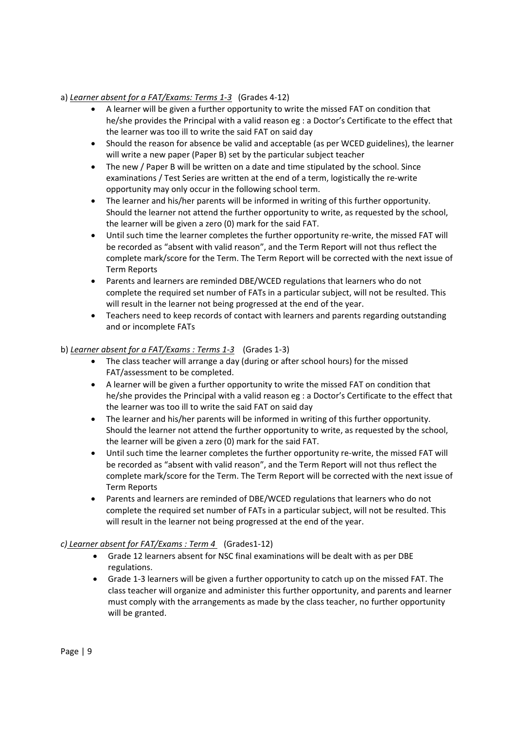## a) *Learner absent for a FAT/Exams: Terms 1‐3* (Grades 4‐12)

- A learner will be given a further opportunity to write the missed FAT on condition that he/she provides the Principal with a valid reason eg : a Doctor's Certificate to the effect that the learner was too ill to write the said FAT on said day
- Should the reason for absence be valid and acceptable (as per WCED guidelines), the learner will write a new paper (Paper B) set by the particular subject teacher
- The new / Paper B will be written on a date and time stipulated by the school. Since examinations / Test Series are written at the end of a term, logistically the re-write opportunity may only occur in the following school term.
- The learner and his/her parents will be informed in writing of this further opportunity. Should the learner not attend the further opportunity to write, as requested by the school, the learner will be given a zero (0) mark for the said FAT.
- Until such time the learner completes the further opportunity re‐write, the missed FAT will be recorded as "absent with valid reason", and the Term Report will not thus reflect the complete mark/score for the Term. The Term Report will be corrected with the next issue of Term Reports
- Parents and learners are reminded DBE/WCED regulations that learners who do not complete the required set number of FATs in a particular subject, will not be resulted. This will result in the learner not being progressed at the end of the year.
- Teachers need to keep records of contact with learners and parents regarding outstanding and or incomplete FATs

## b) *Learner absent for a FAT/Exams : Terms 1‐3* (Grades 1‐3)

- The class teacher will arrange a day (during or after school hours) for the missed FAT/assessment to be completed.
- A learner will be given a further opportunity to write the missed FAT on condition that he/she provides the Principal with a valid reason eg : a Doctor's Certificate to the effect that the learner was too ill to write the said FAT on said day
- The learner and his/her parents will be informed in writing of this further opportunity. Should the learner not attend the further opportunity to write, as requested by the school, the learner will be given a zero (0) mark for the said FAT.
- Until such time the learner completes the further opportunity re-write, the missed FAT will be recorded as "absent with valid reason", and the Term Report will not thus reflect the complete mark/score for the Term. The Term Report will be corrected with the next issue of Term Reports
- Parents and learners are reminded of DBE/WCED regulations that learners who do not complete the required set number of FATs in a particular subject, will not be resulted. This will result in the learner not being progressed at the end of the year.

## *c) Learner absent for FAT/Exams : Term 4* (Grades1‐12)

- Grade 12 learners absent for NSC final examinations will be dealt with as per DBE regulations.
- Grade 1‐3 learners will be given a further opportunity to catch up on the missed FAT. The class teacher will organize and administer this further opportunity, and parents and learner must comply with the arrangements as made by the class teacher, no further opportunity will be granted.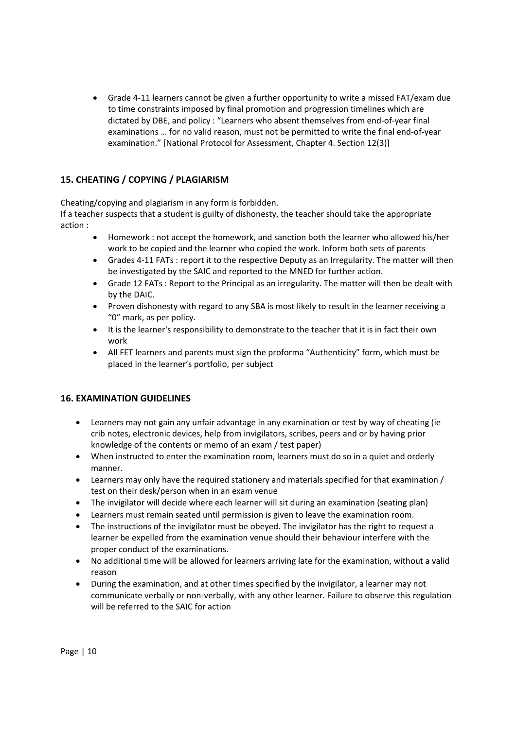● Grade 4-11 learners cannot be given a further opportunity to write a missed FAT/exam due to time constraints imposed by final promotion and progression timelines which are dictated by DBE, and policy : "Learners who absent themselves from end‐of‐year final examinations … for no valid reason, must not be permitted to write the final end‐of‐year examination." [National Protocol for Assessment, Chapter 4. Section 12(3)]

## **15. CHEATING / COPYING / PLAGIARISM**

Cheating/copying and plagiarism in any form is forbidden.

If a teacher suspects that a student is guilty of dishonesty, the teacher should take the appropriate action :

- Homework : not accept the homework, and sanction both the learner who allowed his/her work to be copied and the learner who copied the work. Inform both sets of parents
- Grades 4‐11 FATs : report it to the respective Deputy as an Irregularity. The matter will then be investigated by the SAIC and reported to the MNED for further action.
- Grade 12 FATs : Report to the Principal as an irregularity. The matter will then be dealt with by the DAIC.
- Proven dishonesty with regard to any SBA is most likely to result in the learner receiving a "0" mark, as per policy.
- It is the learner's responsibility to demonstrate to the teacher that it is in fact their own work
- All FET learners and parents must sign the proforma "Authenticity" form, which must be placed in the learner's portfolio, per subject

## **16. EXAMINATION GUIDELINES**

- Learners may not gain any unfair advantage in any examination or test by way of cheating (ie crib notes, electronic devices, help from invigilators, scribes, peers and or by having prior knowledge of the contents or memo of an exam / test paper)
- When instructed to enter the examination room, learners must do so in a quiet and orderly manner.
- Learners may only have the required stationery and materials specified for that examination / test on their desk/person when in an exam venue
- The invigilator will decide where each learner will sit during an examination (seating plan)
- Learners must remain seated until permission is given to leave the examination room.
- The instructions of the invigilator must be obeyed. The invigilator has the right to request a learner be expelled from the examination venue should their behaviour interfere with the proper conduct of the examinations.
- No additional time will be allowed for learners arriving late for the examination, without a valid reason
- During the examination, and at other times specified by the invigilator, a learner may not communicate verbally or non‐verbally, with any other learner. Failure to observe this regulation will be referred to the SAIC for action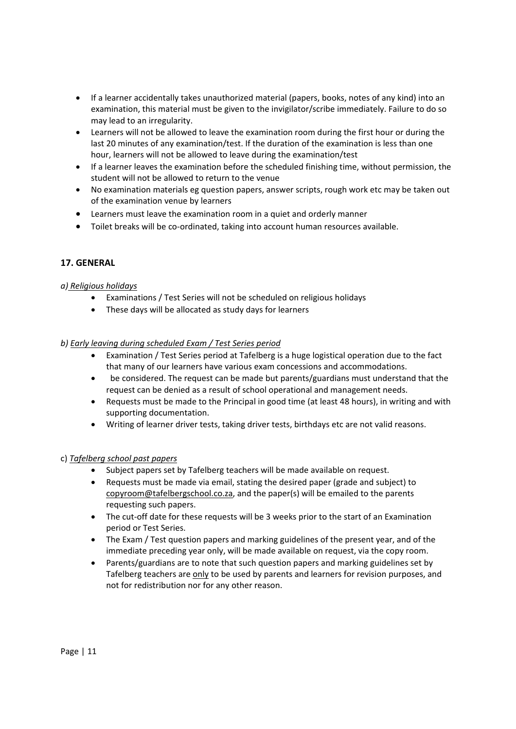- If a learner accidentally takes unauthorized material (papers, books, notes of any kind) into an examination, this material must be given to the invigilator/scribe immediately. Failure to do so may lead to an irregularity.
- Learners will not be allowed to leave the examination room during the first hour or during the last 20 minutes of any examination/test. If the duration of the examination is less than one hour, learners will not be allowed to leave during the examination/test
- If a learner leaves the examination before the scheduled finishing time, without permission, the student will not be allowed to return to the venue
- No examination materials eg question papers, answer scripts, rough work etc may be taken out of the examination venue by learners
- Learners must leave the examination room in a quiet and orderly manner
- Toilet breaks will be co-ordinated, taking into account human resources available.

## **17. GENERAL**

## *a) Religious holidays*

- Examinations / Test Series will not be scheduled on religious holidays
- These days will be allocated as study days for learners

## *b) Early leaving during scheduled Exam / Test Series period*

- Examination / Test Series period at Tafelberg is a huge logistical operation due to the fact that many of our learners have various exam concessions and accommodations.
- be considered. The request can be made but parents/guardians must understand that the request can be denied as a result of school operational and management needs.
- Requests must be made to the Principal in good time (at least 48 hours), in writing and with supporting documentation.
- Writing of learner driver tests, taking driver tests, birthdays etc are not valid reasons.

#### c) *Tafelberg school past papers*

- Subject papers set by Tafelberg teachers will be made available on request.
- Requests must be made via email, stating the desired paper (grade and subject) to copyroom@tafelbergschool.co.za, and the paper(s) will be emailed to the parents requesting such papers.
- The cut-off date for these requests will be 3 weeks prior to the start of an Examination period or Test Series.
- The Exam / Test question papers and marking guidelines of the present year, and of the immediate preceding year only, will be made available on request, via the copy room.
- Parents/guardians are to note that such question papers and marking guidelines set by Tafelberg teachers are only to be used by parents and learners for revision purposes, and not for redistribution nor for any other reason.